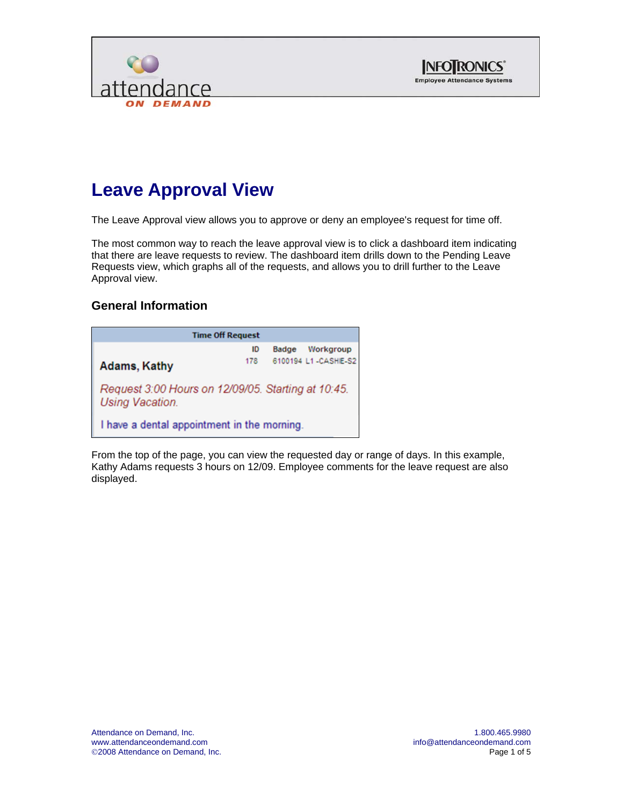



# **Leave Approval View**

The Leave Approval view allows you to approve or deny an employee's request for time off.

The most common way to reach the leave approval view is to click a dashboard item indicating that there are leave requests to review. The dashboard item drills down to the Pending Leave Requests view, which graphs all of the requests, and allows you to drill further to the Leave Approval view.

#### **General Information**

| <b>Time Off Request</b>                                                      |     |              |                     |  |  |  |  |  |  |
|------------------------------------------------------------------------------|-----|--------------|---------------------|--|--|--|--|--|--|
|                                                                              | ID  | <b>Badge</b> | Workgroup           |  |  |  |  |  |  |
| <b>Adams, Kathy</b>                                                          | 178 |              | 6100194 L1-CASHE-S2 |  |  |  |  |  |  |
| Request 3:00 Hours on 12/09/05. Starting at 10:45.<br><b>Using Vacation.</b> |     |              |                     |  |  |  |  |  |  |
| I have a dental appointment in the morning.                                  |     |              |                     |  |  |  |  |  |  |

From the top of the page, you can view the requested day or range of days. In this example, Kathy Adams requests 3 hours on 12/09. Employee comments for the leave request are also displayed.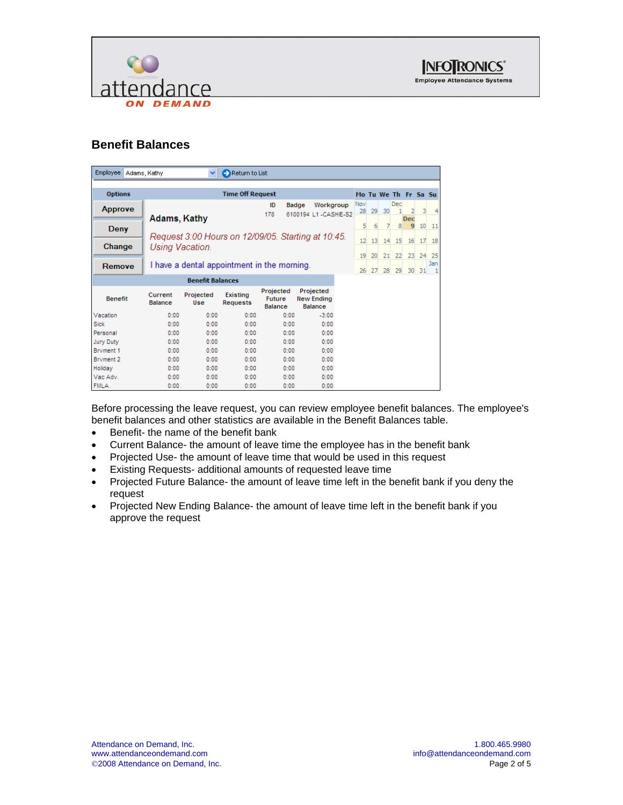



## **Benefit Balances**

| <b>Employee</b>  | Adams, Kathy              | $\checkmark$                                | Return to List                     |                                              |                                                    |                      |    |    |     |            |    |     |
|------------------|---------------------------|---------------------------------------------|------------------------------------|----------------------------------------------|----------------------------------------------------|----------------------|----|----|-----|------------|----|-----|
|                  |                           |                                             |                                    |                                              |                                                    |                      |    |    |     |            |    |     |
| <b>Options</b>   |                           |                                             | <b>Time Off Request</b>            |                                              |                                                    | Mo Tu We Th Fr Sa Su |    |    |     |            |    |     |
| <b>Approve</b>   |                           |                                             |                                    | ID<br>178                                    | Badge<br>Workgroup<br>6100194 L1-CASHIE-S2         | Nov<br>28            | 29 | 30 | Dec |            | 3  |     |
|                  | Adams, Kathy              |                                             |                                    |                                              |                                                    |                      |    |    |     | <b>Dec</b> |    |     |
| Deny             |                           |                                             |                                    |                                              |                                                    | 5                    | 6  | 7  | 8   | 9          | 10 | 11  |
|                  |                           |                                             |                                    |                                              | Request 3:00 Hours on 12/09/05. Starting at 10:45. | 12                   | 13 | 14 | 15  | 16         | 17 | 18  |
| Change           | Using Vacation.           |                                             |                                    |                                              |                                                    |                      |    |    |     |            |    |     |
|                  |                           |                                             |                                    |                                              |                                                    | 19                   | 20 | 21 | 22  | 23         | 24 | 25  |
| Remove           |                           | I have a dental appointment in the morning. |                                    |                                              |                                                    | 26                   | 27 | 28 | 29  | 30         | 31 | Jan |
|                  |                           | <b>Benefit Balances</b>                     |                                    |                                              |                                                    |                      |    |    |     |            |    |     |
| <b>Benefit</b>   | Current<br><b>Balance</b> | Projected<br>Use                            | <b>Existing</b><br><b>Requests</b> | Projected<br><b>Future</b><br><b>Balance</b> | Projected<br><b>New Ending</b><br><b>Balance</b>   |                      |    |    |     |            |    |     |
| Vacation         | 0:00                      | 0:00                                        | 0:00                               | 0:00                                         | $-3:00$                                            |                      |    |    |     |            |    |     |
| <b>Sick</b>      | 0:00                      | 0:00                                        | 0:00                               | 0:00                                         | 0:00                                               |                      |    |    |     |            |    |     |
| Personal         | 0:00                      | 0:00                                        | 0:00                               | 0:00                                         | 0:00                                               |                      |    |    |     |            |    |     |
| <b>Jury Duty</b> | 0:00                      | 0:00                                        | 0:00                               | 0:00                                         | 0:00                                               |                      |    |    |     |            |    |     |
| Bryment 1        | 0:00                      | 0:00                                        | 0:00                               | 0:00                                         | 0:00                                               |                      |    |    |     |            |    |     |
| Bryment 2        | 0:00                      | 0:00                                        | 0:00                               | 0:00                                         | 0:00                                               |                      |    |    |     |            |    |     |
| Holiday          | 0:00                      | 0:00                                        | 0:00                               | 0:00                                         | 0:00                                               |                      |    |    |     |            |    |     |
| Vac Adv.         | 0:00                      | 0:00                                        | 0:00                               | 0:00                                         | 0:00                                               |                      |    |    |     |            |    |     |
| <b>FMLA</b>      | 0:00                      | 0:00                                        | 0:00                               | 0:00                                         | 0:00                                               |                      |    |    |     |            |    |     |

Before processing the leave request, you can review employee benefit balances. The employee's benefit balances and other statistics are available in the Benefit Balances table.

- Benefit- the name of the benefit bank
- Current Balance- the amount of leave time the employee has in the benefit bank
- Projected Use- the amount of leave time that would be used in this request
- Existing Requests- additional amounts of requested leave time
- Projected Future Balance- the amount of leave time left in the benefit bank if you deny the request
- Projected New Ending Balance- the amount of leave time left in the benefit bank if you approve the request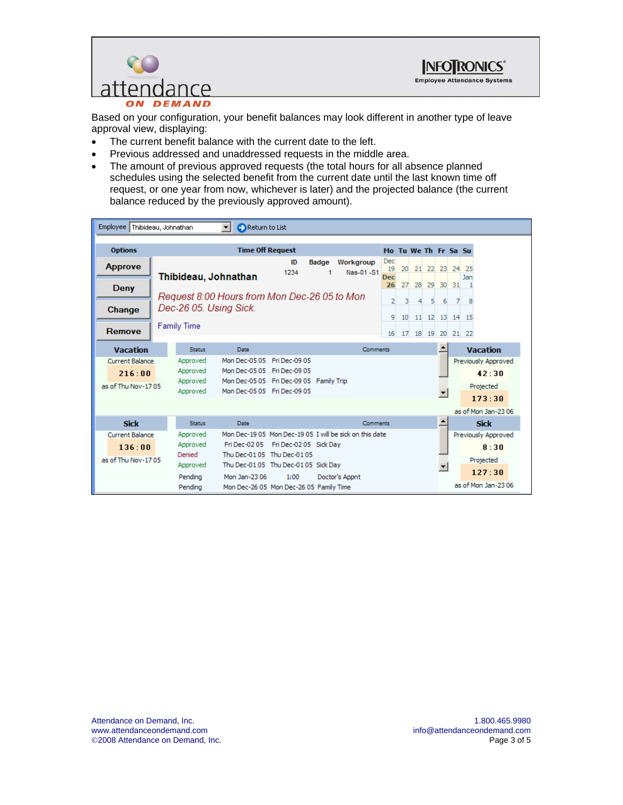



Based on your configuration, your benefit balances may look different in another type of leave approval view, displaying:

- The current benefit balance with the current date to the left.
- Previous addressed and unaddressed requests in the middle area.
- The amount of previous approved requests (the total hours for all absence planned schedules using the selected benefit from the current date until the last known time off request, or one year from now, whichever is later) and the projected balance (the current balance reduced by the previously approved amount).

| Employee Thibideau, Johnathan    |                                | Return to List                                                                                                                 |            |              |                        |                 |                         |          |                      |                                  |                  |                |                               |
|----------------------------------|--------------------------------|--------------------------------------------------------------------------------------------------------------------------------|------------|--------------|------------------------|-----------------|-------------------------|----------|----------------------|----------------------------------|------------------|----------------|-------------------------------|
| <b>Options</b>                   |                                | <b>Time Off Request</b>                                                                                                        |            |              |                        |                 |                         |          | Mo Tu We Th Fr Sa Su |                                  |                  |                |                               |
| <b>Approve</b>                   | Thibideau, Johnathan           |                                                                                                                                | ID<br>1234 | <b>Badge</b> | Workgroup<br>Nas-01-S1 |                 | Dec<br>19<br><b>Dec</b> | 20       |                      | 21 22 23 24 25                   |                  |                | Jan                           |
| <b>Deny</b>                      |                                |                                                                                                                                |            |              |                        |                 | 26                      | 27       |                      | 28 29 30 31                      |                  |                |                               |
| Change                           | Dec-26 05. Using Sick.         | Request 8:00 Hours from Mon Dec-26 05 to Mon                                                                                   |            |              |                        |                 | $\overline{2}$          | 3.       | 4                    | -5                               | 6                | $\overline{7}$ | 8                             |
| Remove                           | <b>Family Time</b>             |                                                                                                                                |            |              |                        |                 | 9<br>16                 | 10<br>17 |                      | 11 12 13 14 15<br>18 19 20 21 22 |                  |                |                               |
| <b>Vacation</b>                  | <b>Status</b>                  | Date                                                                                                                           |            |              |                        | <b>Comments</b> |                         |          |                      |                                  |                  |                | <b>Vacation</b>               |
| <b>Current Balance</b><br>216:00 | Approved<br>Approved           | Mon Dec-05 05 Fri Dec-09 05<br>Mon Dec-05 05 Fri Dec-09 05                                                                     |            |              |                        |                 |                         |          |                      |                                  |                  |                | Previously Approved<br>42:30  |
| as of Thu Nov-1705               | Approved<br>Approved           | Mon Dec-05 05 Fri Dec-09 05 Family Trip<br>Mon Dec-05 05 Fri Dec-09 05                                                         |            |              |                        |                 |                         |          |                      |                                  | ٠                |                | Projected                     |
|                                  |                                |                                                                                                                                |            |              |                        |                 |                         |          |                      |                                  |                  |                | 173:30<br>as of Mon Jan-23 06 |
| <b>Sick</b>                      | <b>Status</b>                  | Date                                                                                                                           |            |              |                        | Comments        |                         |          |                      |                                  | $\blacktriangle$ |                | <b>Sick</b>                   |
| <b>Current Balance</b><br>136:00 | Approved<br>Approved<br>Denied | Mon Dec-19 05 Mon Dec-19 05 I will be sick on this date<br>Fri Dec-02 05 Fri Dec-02 05 Sick Day<br>Thu Dec-01 05 Thu Dec-01 05 |            |              |                        |                 |                         |          |                      |                                  |                  |                | Previously Approved<br>8:30   |
| as of Thu Nov-1705               | Approved<br>Pendina            | Thu Dec-0105 Thu Dec-0105 Sick Day<br>Mon Jan-23 06                                                                            | 1:00       |              | Doctor's Appnt         |                 |                         |          |                      |                                  |                  |                | Projected<br>127:30           |
|                                  | Pendina                        | Mon Dec-26 05 Mon Dec-26 05 Family Time                                                                                        |            |              |                        |                 |                         |          |                      |                                  |                  |                | as of Mon Jan-2306            |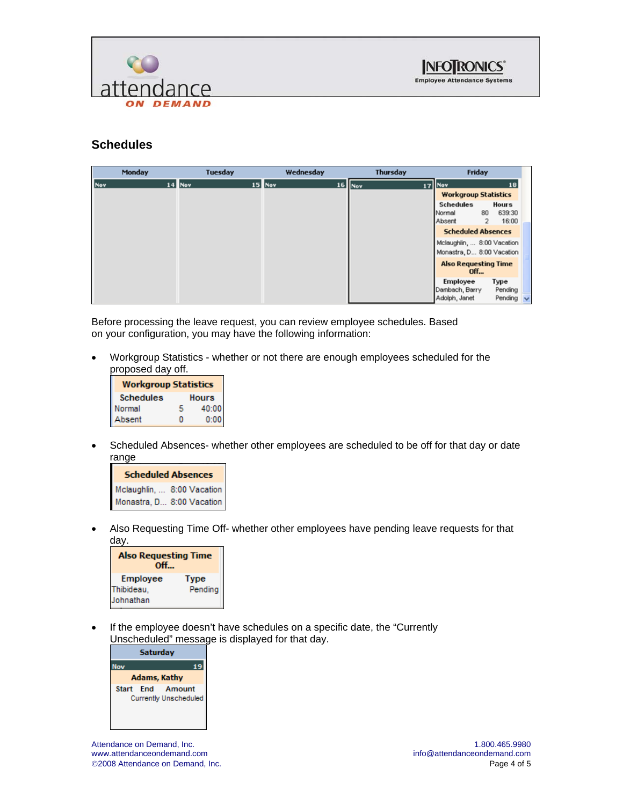



#### **Schedules**



Before processing the leave request, you can review employee schedules. Based on your configuration, you may have the following information:

• Workgroup Statistics - whether or not there are enough employees scheduled for the proposed day off.

| <b>Workgroup Statistics</b> |   |       |  |  |  |  |  |  |
|-----------------------------|---|-------|--|--|--|--|--|--|
| <b>Schedules</b>            |   | Hours |  |  |  |  |  |  |
| Normal                      | я | 40:00 |  |  |  |  |  |  |
| Absent                      |   | 0.00  |  |  |  |  |  |  |

• Scheduled Absences- whether other employees are scheduled to be off for that day or date range

| <b>Scheduled Absences</b>  |  |  |  |  |  |  |  |  |  |
|----------------------------|--|--|--|--|--|--|--|--|--|
| Mclaughlin,  8:00 Vacation |  |  |  |  |  |  |  |  |  |
| Monastra, D 8:00 Vacation  |  |  |  |  |  |  |  |  |  |

• Also Requesting Time Off- whether other employees have pending leave requests for that day.

| <b>Also Requesting Time</b><br>Off  |                 |
|-------------------------------------|-----------------|
| Employee<br>Thibideau,<br>Johnathan | Type<br>Pendina |

If the employee doesn't have schedules on a specific date, the "Currently Unscheduled" message is displayed for that day.